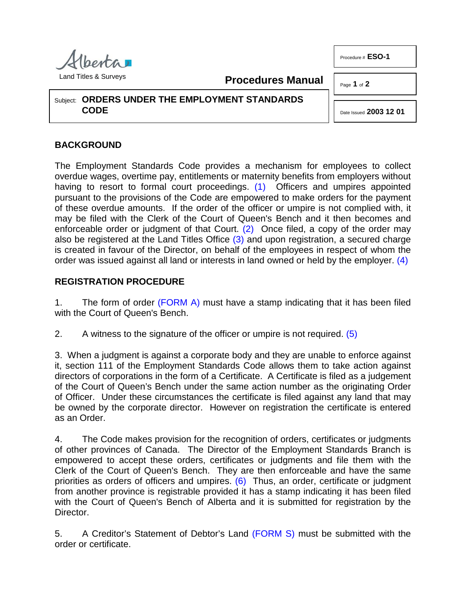

<span id="page-0-2"></span><span id="page-0-1"></span><span id="page-0-0"></span>**Procedures Manual**

Page **1** of **2**

Procedure # **ESO-1**

Subject: **ORDERS UNDER THE EMPLOYMENT STANDARDS CODE**

<span id="page-0-4"></span><span id="page-0-3"></span>Date Issued **2003 12 01**

## **BACKGROUND**

The Employment Standards Code provides a mechanism for employees to collect overdue wages, overtime pay, entitlements or maternity benefits from employers without having to resort to formal court proceedings. [\(1\)](#page-1-0) Officers and umpires appointed pursuant to the provisions of the Code are empowered to make orders for the payment of these overdue amounts. If the order of the officer or umpire is not complied with, it may be filed with the Clerk of the Court of Queen's Bench and it then becomes and enforceable order or judgment of that Court. [\(2\)](#page-1-1) Once filed, a copy of the order may also be registered at the Land Titles Office [\(3\)](#page-1-2) and upon registration, a secured charge is created in favour of the Director, on behalf of the employees in respect of whom the order was issued against all land or interests in land owned or held by the employer. [\(4\)](#page-1-3)

## **REGISTRATION PROCEDURE**

1. The form of order [\(FORM A\)](http://www.servicealberta.ca/pdf/ltmanual/ESO-1-FORMA.pdf) must have a stamp indicating that it has been filed with the Court of Queen's Bench.

2. A witness to the signature of the officer or umpire is not required. [\(5\)](#page-1-4)

3. When a judgment is against a corporate body and they are unable to enforce against it, section 111 of the Employment Standards Code allows them to take action against directors of corporations in the form of a Certificate. A Certificate is filed as a judgement of the Court of Queen's Bench under the same action number as the originating Order of Officer. Under these circumstances the certificate is filed against any land that may be owned by the corporate director. However on registration the certificate is entered as an Order.

<span id="page-0-5"></span>4. The Code makes provision for the recognition of orders, certificates or judgments of other provinces of Canada. The Director of the Employment Standards Branch is empowered to accept these orders, certificates or judgments and file them with the Clerk of the Court of Queen's Bench. They are then enforceable and have the same priorities as orders of officers and umpires.  $(6)$  Thus, an order, certificate or judgment from another province is registrable provided it has a stamp indicating it has been filed with the Court of Queen's Bench of Alberta and it is submitted for registration by the Director.

5. A Creditor's Statement of Debtor's Land [\(FORM S\)](http://www.servicealberta.ca/pdf/ltmanual/FORMS.pdf) must be submitted with the order or certificate.